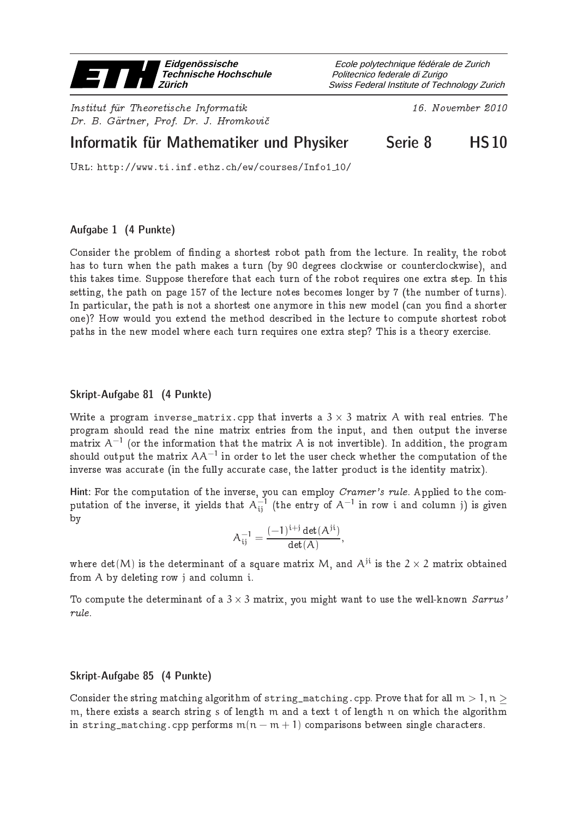

Institut fur Theoretis
he Informatik 16. November <sup>2010</sup> Dr. B. Gärtner, Prof. Dr. J. Hromkovič

Swiss Federal Institute of Technology Zurich Politecnico federale di Zurigo Ecole polytechnique fédérale de Zurich

# Informatik für Mathematiker und Physiker Serie 8 THS10

Url: http://www.ti.inf.ethz.ch/ew/courses/Info1 10/

## Aufgabe 1 (4 Punkte)

Consider the problem of finding a shortest robot path from the lecture. In reality, the robot has to turn when the path makes a turn (by 90 degrees clockwise or counterclockwise), and this takes time. Suppose therefore that each turn of the robot requires one extra step. In this setting, the path on page 157 of the lecture notes becomes longer by 7 (the number of turns). In particular, the path is not a shortest one anymore in this new model (can you find a shorter one)? How would you extend the method des
ribed in the le
ture to ompute shortest robot paths in the new model where ea
h turn requires one extra step? This is a theory exer
ise.

## Skript-Aufgabe 81 (4 Punkte)

Write a program inverse\_matrix.cpp that inverts a  $3\times 3$  matrix A with real entries. The program should read the nine matrix entries from the input, and then output the inverse matrix  $\mathsf{A}^{-1}$  (or the information that the matrix  $\mathsf{A}$  is not invertible). In addition, the program should output the matrix  $A A^{-1}$  in order to let the user check whether the computation of the inverse was accurate (in the fully accurate case, the latter product is the identity matrix).

Hint: For the computation of the inverse, you can employ *Cramer's rule*. Applied to the computation of the inverse, it yields that  $A_{ij}^{-1}$  (the entry of  $A^{-1}$  in row i and column j) is given by

$$
A^{-1}_{ij}=\frac{(-1)^{i+j}\det(A^{ji})}{\det(A)},
$$

where  $\det(M)$  is the determinant of a square matrix M, and  $A^{\text{ji}}$  is the  $2\times 2$  matrix obtained from A by deleting row j and column i.

To compute the determinant of a  $3\times 3$  matrix, you might want to use the well-known  $\emph{Sarrus'}$ rule.

## Skript-Aufgabe 85 (4 Punkte)

Consider the string matching algorithm of string\_matching.cpp. Prove that for all  $m > 1, n > 1$ m, there exists a search string s of length m and a text t of length n on which the algorithm in string\_matching.cpp performs  $m(n - m + 1)$  comparisons between single characters.